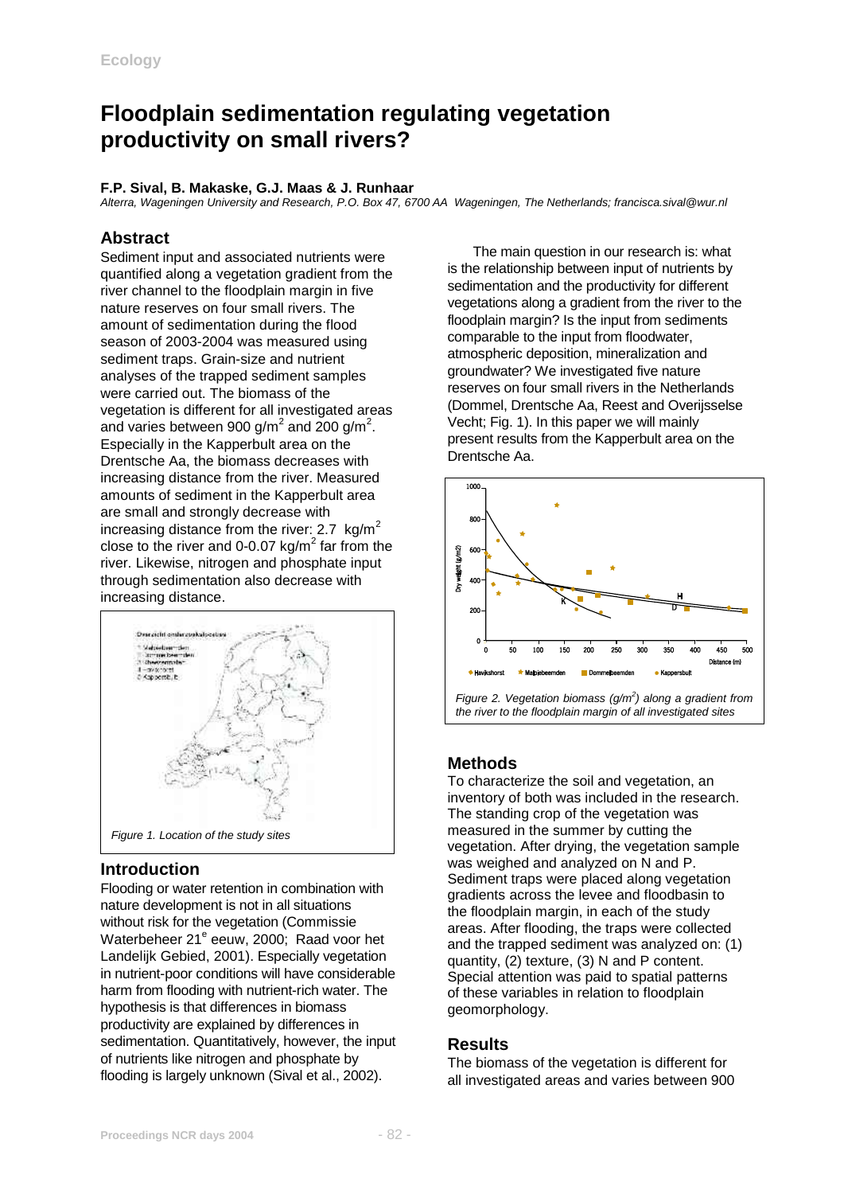# **Floodplain sedimentation regulating vegetation productivity on small rivers?**

#### **F.P. Sival, B. Makaske, G.J. Maas & J. Runhaar**

*Alterra, Wageningen University and Research, P.O. Box 47, 6700 AA Wageningen, The Netherlands; francisca.sival@wur.nl*

# **Abstract**

Sediment input and associated nutrients were quantified along a vegetation gradient from the river channel to the floodplain margin in five nature reserves on four small rivers. The amount of sedimentation during the flood season of 2003-2004 was measured using sediment traps. Grain-size and nutrient analyses of the trapped sediment samples were carried out. The biomass of the vegetation is different for all investigated areas and varies between 900 g/m<sup>2</sup> and 200 g/m<sup>2</sup>. Especially in the Kapperbult area on the Drentsche Aa, the biomass decreases with increasing distance from the river. Measured amounts of sediment in the Kapperbult area are small and strongly decrease with increasing distance from the river:  $2.7 \text{ kg/m}^2$ close to the river and 0-0.07 kg/ $m^2$  far from the river. Likewise, nitrogen and phosphate input through sedimentation also decrease with increasing distance.



# **Introduction**

Flooding or water retention in combination with nature development is not in all situations without risk for the vegetation (Commissie Waterbeheer 21<sup>e</sup> eeuw, 2000; Raad voor het Landelijk Gebied, 2001). Especially vegetation in nutrient-poor conditions will have considerable harm from flooding with nutrient-rich water. The hypothesis is that differences in biomass productivity are explained by differences in sedimentation. Quantitatively, however, the input of nutrients like nitrogen and phosphate by flooding is largely unknown (Sival et al., 2002).

 The main question in our research is: what is the relationship between input of nutrients by sedimentation and the productivity for different vegetations along a gradient from the river to the floodplain margin? Is the input from sediments comparable to the input from floodwater, atmospheric deposition, mineralization and groundwater? We investigated five nature reserves on four small rivers in the Netherlands (Dommel, Drentsche Aa, Reest and Overijsselse Vecht; Fig. 1). In this paper we will mainly present results from the Kapperbult area on the Drentsche Aa.



# **Methods**

To characterize the soil and vegetation, an inventory of both was included in the research. The standing crop of the vegetation was measured in the summer by cutting the vegetation. After drying, the vegetation sample was weighed and analyzed on N and P. Sediment traps were placed along vegetation gradients across the levee and floodbasin to the floodplain margin, in each of the study areas. After flooding, the traps were collected and the trapped sediment was analyzed on: (1) quantity, (2) texture, (3) N and P content. Special attention was paid to spatial patterns of these variables in relation to floodplain geomorphology.

# **Results**

The biomass of the vegetation is different for all investigated areas and varies between 900